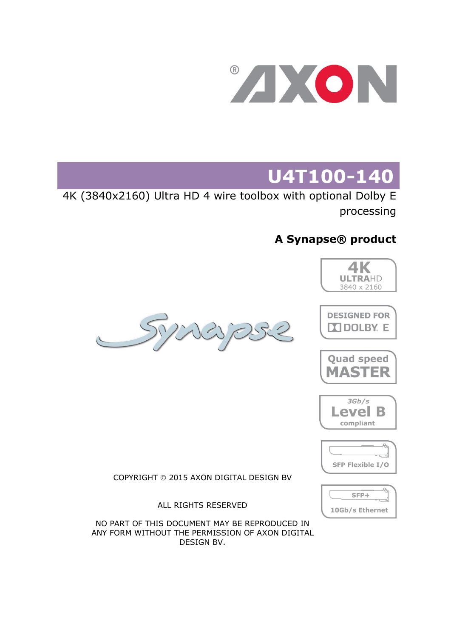

# **U4T100-140**

4K (3840x2160) Ultra HD 4 wire toolbox with optional Dolby E processing

### **A Synapse® product**

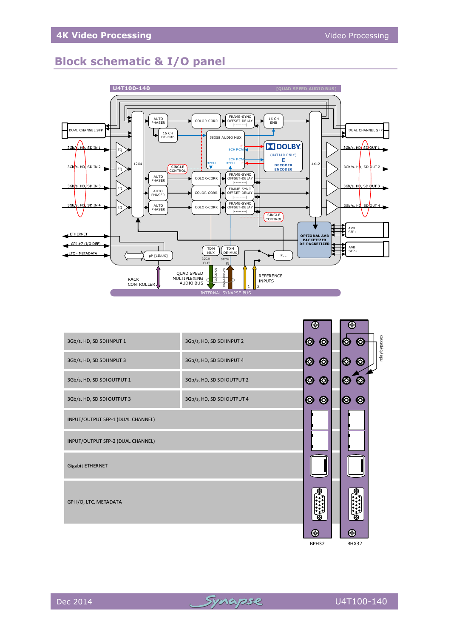### **Block schematic & I/O panel**



|                                   |                            | K.                                       |                                              |                |
|-----------------------------------|----------------------------|------------------------------------------|----------------------------------------------|----------------|
| 3Gb/s, HD, SD SDI INPUT 1         | 3Gb/s, HD, SD SDI INPUT 2  | $\bm{\circledcirc}$<br>$\bm{\circ}$      | O<br>0                                       | relay bypasses |
| 3Gb/s, HD, SD SDI INPUT 3         | 3Gb/s, HD, SD SDI INPUT 4  | $\bullet$<br>$\circledcirc$              | 10<br>$\bm{\copyright}$                      |                |
| 3Gb/s, HD, SD SDI OUTPUT 1        | 3Gb/s, HD, SD SDI OUTPUT 2 | $\bm{\circledcirc}$<br>$\bm{\mathsf{O}}$ | 0                                            |                |
| 3Gb/s, HD, SD SDI OUTPUT 3        | 3Gb/s, HD, SD SDI OUTPUT 4 | $\bm{\circledcirc}$<br>$\bm{\circ}$      | $\bm{\circledcirc}$<br>$\bm{\mathsf{\odot}}$ |                |
| INPUT/OUTPUT SFP-1 (DUAL CHANNEL) |                            |                                          |                                              |                |
| INPUT/OUTPUT SFP-2 (DUAL CHANNEL) |                            |                                          |                                              |                |
| Gigabit ETHERNET                  |                            |                                          |                                              |                |
| GPI I/O, LTC, METADATA            |                            |                                          |                                              |                |
|                                   |                            | ⊛                                        | 41                                           |                |

BPH32 BHX32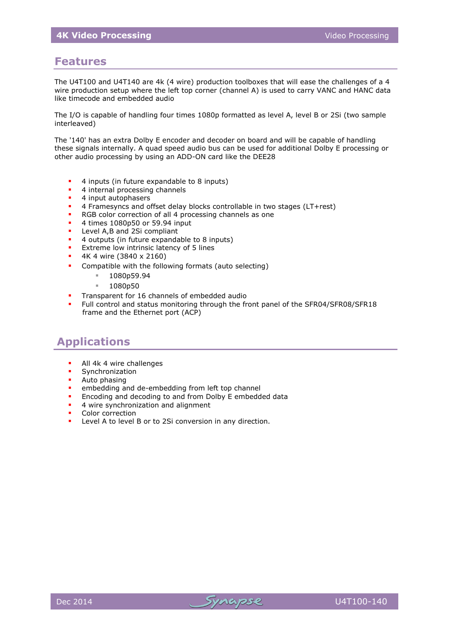### **Features**

The U4T100 and U4T140 are 4k (4 wire) production toolboxes that will ease the challenges of a 4 wire production setup where the left top corner (channel A) is used to carry VANC and HANC data like timecode and embedded audio

The I/O is capable of handling four times 1080p formatted as level A, level B or 2Si (two sample interleaved)

The '140' has an extra Dolby E encoder and decoder on board and will be capable of handling these signals internally. A quad speed audio bus can be used for additional Dolby E processing or other audio processing by using an ADD-ON card like the DEE28

- <sup>4</sup> 4 inputs (in future expandable to 8 inputs)
- 4 internal processing channels
- **4** input autophasers
- 4 Framesyncs and offset delay blocks controllable in two stages (LT+rest)
- RGB color correction of all 4 processing channels as one
- $\blacksquare$  4 times 1080p50 or 59.94 input
- Level A,B and 2Si compliant
- <sup>4</sup> 4 outputs (in future expandable to 8 inputs)
- **Extreme low intrinsic latency of 5 lines**
- 4K 4 wire (3840 x 2160)
- **•** Compatible with the following formats (auto selecting)
	- $1080p59.94$
	- $1080p50$
- Transparent for 16 channels of embedded audio
- Full control and status monitoring through the front panel of the SFR04/SFR08/SFR18 frame and the Ethernet port (ACP)

### **Applications**

- All 4k 4 wire challenges
- Synchronization<br>Auto phasing
- Auto phasing
- embedding and de-embedding from left top channel
- **Encoding and decoding to and from Dolby E embedded data**
- 4 wire synchronization and alignment
- Color correction
- Level A to level B or to 2Si conversion in any direction.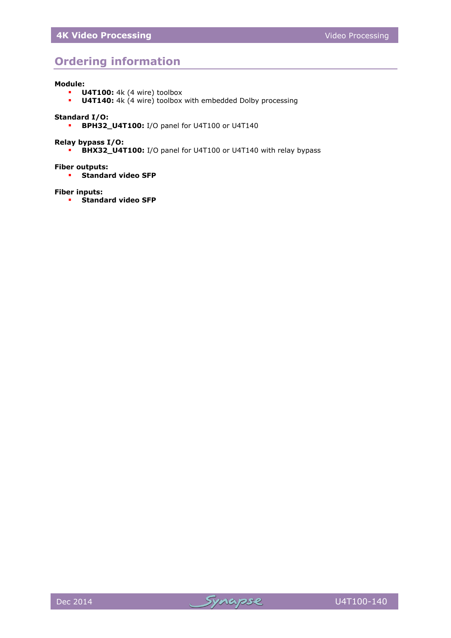### **Ordering information**

#### **Module:**

- **U4T100:** 4k (4 wire) toolbox
- **U4T140:** 4k (4 wire) toolbox with embedded Dolby processing

#### **Standard I/O:**

**BPH32\_U4T100:** I/O panel for U4T100 or U4T140

#### **Relay bypass I/O:**

**BHX32\_U4T100:** I/O panel for U4T100 or U4T140 with relay bypass

#### **Fiber outputs:**

**Standard video SFP** 

#### **Fiber inputs:**

**F** Standard video SFP